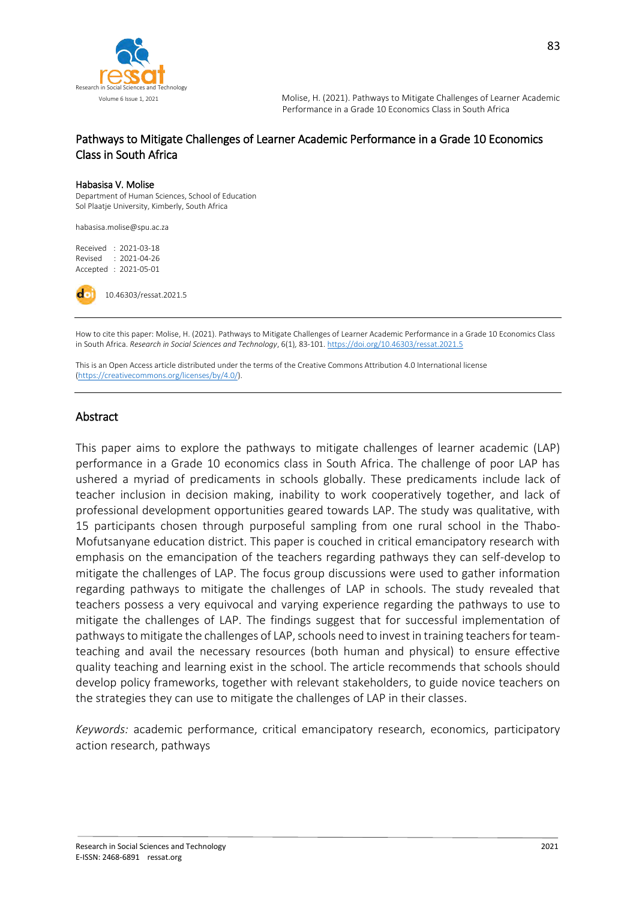

#### Pathways to Mitigate Challenges of Learner Academic Performance in a Grade 10 Economics Class in South Africa

#### Habasisa V. Molise

Department of Human Sciences, School of Education Sol Plaatje University, Kimberly, South Africa

habasisa.molise@spu.ac.za

Received : 2021-03-18 Revised : 2021-04-26 Accepted : 2021-05-01

10.46303/ressat.2021.5

How to cite this paper: Molise, H. (2021). Pathways to Mitigate Challenges of Learner Academic Performance in a Grade 10 Economics Class in South Africa. *Research in Social Sciences and Technology*, 6(1)*,* 83-101. <https://doi.org/10.46303/ressat.2021.5>

This is an Open Access article distributed under the terms of the Creative Commons Attribution 4.0 International license [\(https://creativecommons.org/licenses/by/4.0/\).](https://creativecommons.org/licenses/by/4.0/)

#### Abstract

This paper aims to explore the pathways to mitigate challenges of learner academic (LAP) performance in a Grade 10 economics class in South Africa. The challenge of poor LAP has ushered a myriad of predicaments in schools globally. These predicaments include lack of teacher inclusion in decision making, inability to work cooperatively together, and lack of professional development opportunities geared towards LAP. The study was qualitative, with 15 participants chosen through purposeful sampling from one rural school in the Thabo-Mofutsanyane education district. This paper is couched in critical emancipatory research with emphasis on the emancipation of the teachers regarding pathways they can self-develop to mitigate the challenges of LAP. The focus group discussions were used to gather information regarding pathways to mitigate the challenges of LAP in schools. The study revealed that teachers possess a very equivocal and varying experience regarding the pathways to use to mitigate the challenges of LAP. The findings suggest that for successful implementation of pathways to mitigate the challenges of LAP, schools need to invest in training teachers for teamteaching and avail the necessary resources (both human and physical) to ensure effective quality teaching and learning exist in the school. The article recommends that schools should develop policy frameworks, together with relevant stakeholders, to guide novice teachers on the strategies they can use to mitigate the challenges of LAP in their classes.

*Keywords:* academic performance, critical emancipatory research, economics, participatory action research, pathways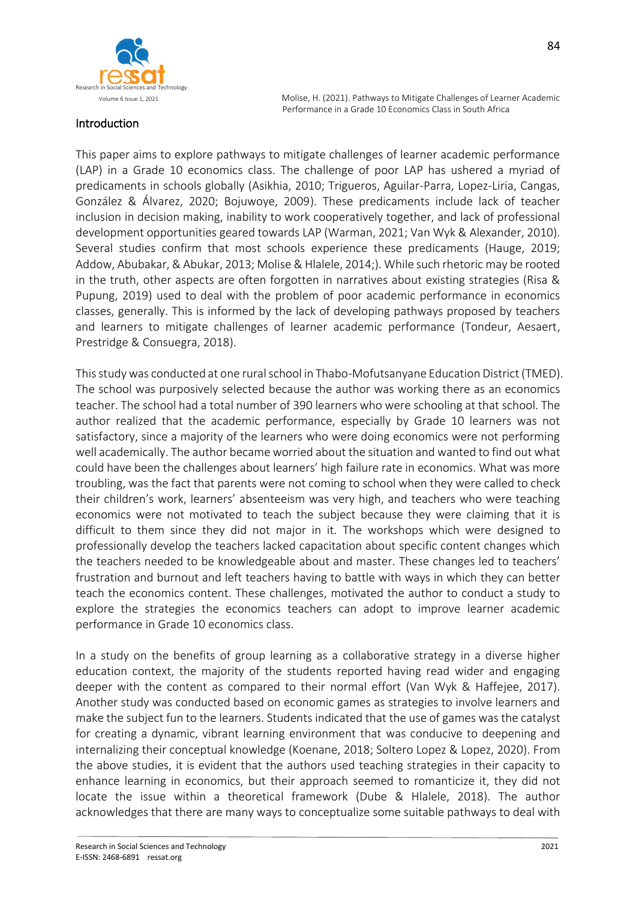

# Introduction

This paper aims to explore pathways to mitigate challenges of learner academic performance (LAP) in a Grade 10 economics class. The challenge of poor LAP has ushered a myriad of predicaments in schools globally (Asikhia, 2010; Trigueros, Aguilar-Parra, Lopez-Liria, Cangas, González & Álvarez, 2020; Bojuwoye, 2009). These predicaments include lack of teacher inclusion in decision making, inability to work cooperatively together, and lack of professional development opportunities geared towards LAP (Warman, 2021; Van Wyk & Alexander, 2010). Several studies confirm that most schools experience these predicaments (Hauge, 2019; Addow, Abubakar, & Abukar, 2013; Molise & Hlalele, 2014;). While such rhetoric may be rooted in the truth, other aspects are often forgotten in narratives about existing strategies (Risa & Pupung, 2019) used to deal with the problem of poor academic performance in economics classes, generally. This is informed by the lack of developing pathways proposed by teachers and learners to mitigate challenges of learner academic performance (Tondeur, Aesaert, Prestridge & Consuegra, 2018).

This study was conducted at one rural school in Thabo-Mofutsanyane Education District (TMED). The school was purposively selected because the author was working there as an economics teacher. The school had a total number of 390 learners who were schooling at that school. The author realized that the academic performance, especially by Grade 10 learners was not satisfactory, since a majority of the learners who were doing economics were not performing well academically. The author became worried about the situation and wanted to find out what could have been the challenges about learners' high failure rate in economics. What was more troubling, was the fact that parents were not coming to school when they were called to check their children's work, learners' absenteeism was very high, and teachers who were teaching economics were not motivated to teach the subject because they were claiming that it is difficult to them since they did not major in it. The workshops which were designed to professionally develop the teachers lacked capacitation about specific content changes which the teachers needed to be knowledgeable about and master. These changes led to teachers' frustration and burnout and left teachers having to battle with ways in which they can better teach the economics content. These challenges, motivated the author to conduct a study to explore the strategies the economics teachers can adopt to improve learner academic performance in Grade 10 economics class.

In a study on the benefits of group learning as a collaborative strategy in a diverse higher education context, the majority of the students reported having read wider and engaging deeper with the content as compared to their normal effort (Van Wyk & Haffejee, 2017). Another study was conducted based on economic games as strategies to involve learners and make the subject fun to the learners. Students indicated that the use of games was the catalyst for creating a dynamic, vibrant learning environment that was conducive to deepening and internalizing their conceptual knowledge (Koenane, 2018; Soltero Lopez & Lopez, 2020). From the above studies, it is evident that the authors used teaching strategies in their capacity to enhance learning in economics, but their approach seemed to romanticize it, they did not locate the issue within a theoretical framework (Dube & Hlalele, 2018). The author acknowledges that there are many ways to conceptualize some suitable pathways to deal with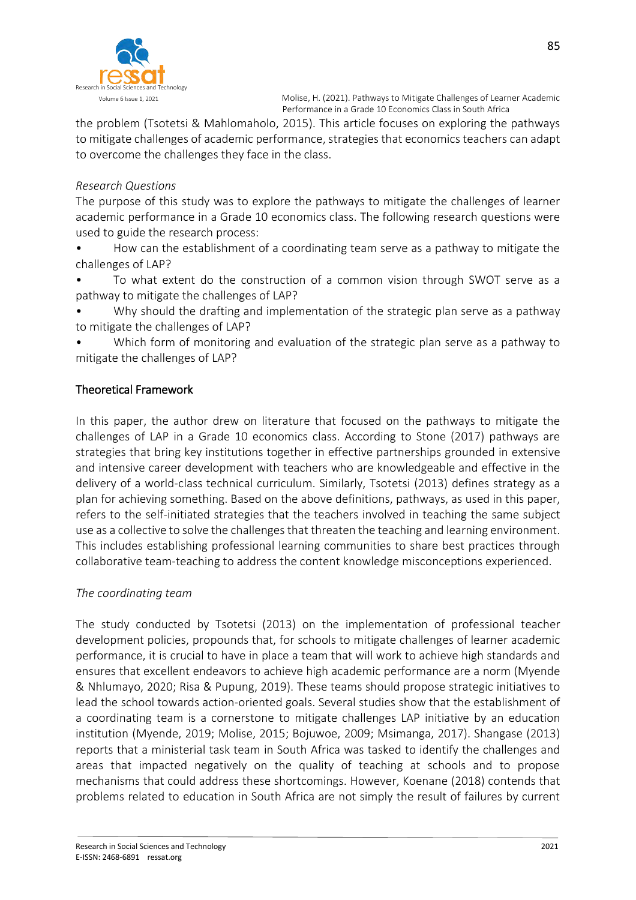

the problem (Tsotetsi & Mahlomaholo, 2015). This article focuses on exploring the pathways to mitigate challenges of academic performance, strategies that economics teachers can adapt to overcome the challenges they face in the class.

## *Research Questions*

The purpose of this study was to explore the pathways to mitigate the challenges of learner academic performance in a Grade 10 economics class. The following research questions were used to guide the research process:

• How can the establishment of a coordinating team serve as a pathway to mitigate the challenges of LAP?

• To what extent do the construction of a common vision through SWOT serve as a pathway to mitigate the challenges of LAP?

• Why should the drafting and implementation of the strategic plan serve as a pathway to mitigate the challenges of LAP?

• Which form of monitoring and evaluation of the strategic plan serve as a pathway to mitigate the challenges of LAP?

## Theoretical Framework

In this paper, the author drew on literature that focused on the pathways to mitigate the challenges of LAP in a Grade 10 economics class. According to Stone (2017) pathways are strategies that bring key institutions together in effective partnerships grounded in extensive and intensive career development with teachers who are knowledgeable and effective in the delivery of a world-class technical curriculum. Similarly, Tsotetsi (2013) defines strategy as a plan for achieving something. Based on the above definitions, pathways, as used in this paper, refers to the self-initiated strategies that the teachers involved in teaching the same subject use as a collective to solve the challenges that threaten the teaching and learning environment. This includes establishing professional learning communities to share best practices through collaborative team-teaching to address the content knowledge misconceptions experienced.

## *The coordinating team*

The study conducted by Tsotetsi (2013) on the implementation of professional teacher development policies, propounds that, for schools to mitigate challenges of learner academic performance, it is crucial to have in place a team that will work to achieve high standards and ensures that excellent endeavors to achieve high academic performance are a norm (Myende & Nhlumayo, 2020; Risa & Pupung, 2019). These teams should propose strategic initiatives to lead the school towards action-oriented goals. Several studies show that the establishment of a coordinating team is a cornerstone to mitigate challenges LAP initiative by an education institution (Myende, 2019; Molise, 2015; Bojuwoe, 2009; Msimanga, 2017). Shangase (2013) reports that a ministerial task team in South Africa was tasked to identify the challenges and areas that impacted negatively on the quality of teaching at schools and to propose mechanisms that could address these shortcomings. However, Koenane (2018) contends that problems related to education in South Africa are not simply the result of failures by current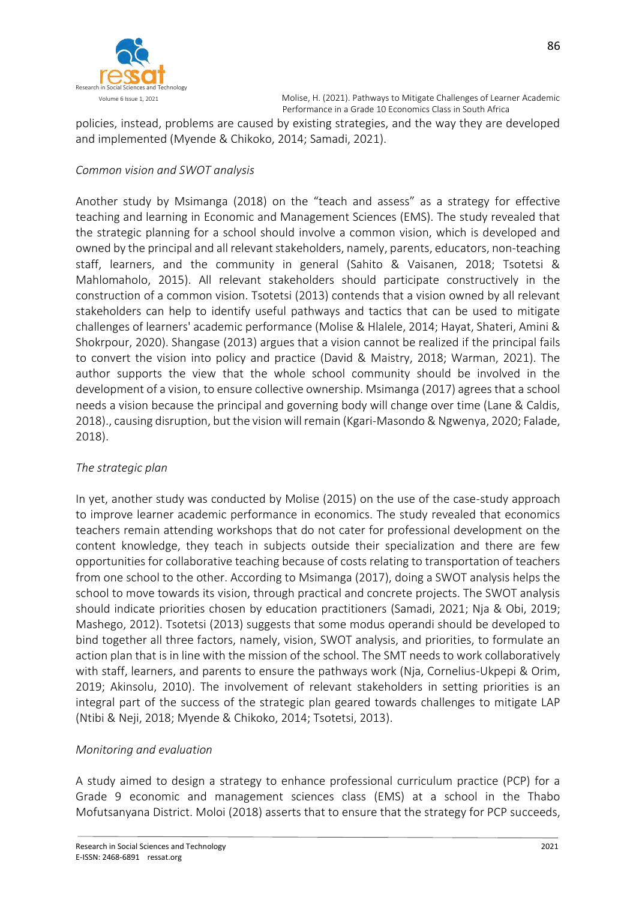

policies, instead, problems are caused by existing strategies, and the way they are developed and implemented (Myende & Chikoko, 2014; Samadi, 2021).

#### *Common vision and SWOT analysis*

Another study by Msimanga (2018) on the "teach and assess" as a strategy for effective teaching and learning in Economic and Management Sciences (EMS). The study revealed that the strategic planning for a school should involve a common vision, which is developed and owned by the principal and all relevant stakeholders, namely, parents, educators, non-teaching staff, learners, and the community in general (Sahito & Vaisanen, 2018; Tsotetsi & Mahlomaholo, 2015). All relevant stakeholders should participate constructively in the construction of a common vision. Tsotetsi (2013) contends that a vision owned by all relevant stakeholders can help to identify useful pathways and tactics that can be used to mitigate challenges of learners' academic performance (Molise & Hlalele, 2014; Hayat, Shateri, Amini & Shokrpour, 2020). Shangase (2013) argues that a vision cannot be realized if the principal fails to convert the vision into policy and practice (David & Maistry, 2018; Warman, 2021). The author supports the view that the whole school community should be involved in the development of a vision, to ensure collective ownership. Msimanga (2017) agrees that a school needs a vision because the principal and governing body will change over time (Lane & Caldis, 2018)., causing disruption, but the vision will remain (Kgari-Masondo & Ngwenya, 2020; Falade, 2018).

## *The strategic plan*

In yet, another study was conducted by Molise (2015) on the use of the case-study approach to improve learner academic performance in economics. The study revealed that economics teachers remain attending workshops that do not cater for professional development on the content knowledge, they teach in subjects outside their specialization and there are few opportunities for collaborative teaching because of costs relating to transportation of teachers from one school to the other. According to Msimanga (2017), doing a SWOT analysis helps the school to move towards its vision, through practical and concrete projects. The SWOT analysis should indicate priorities chosen by education practitioners (Samadi, 2021; Nja & Obi, 2019; Mashego, 2012). Tsotetsi (2013) suggests that some modus operandi should be developed to bind together all three factors, namely, vision, SWOT analysis, and priorities, to formulate an action plan that is in line with the mission of the school. The SMT needs to work collaboratively with staff, learners, and parents to ensure the pathways work (Nja, Cornelius-Ukpepi & Orim, 2019; Akinsolu, 2010). The involvement of relevant stakeholders in setting priorities is an integral part of the success of the strategic plan geared towards challenges to mitigate LAP (Ntibi & Neji, 2018; Myende & Chikoko, 2014; Tsotetsi, 2013).

## *Monitoring and evaluation*

A study aimed to design a strategy to enhance professional curriculum practice (PCP) for a Grade 9 economic and management sciences class (EMS) at a school in the Thabo Mofutsanyana District. Moloi (2018) asserts that to ensure that the strategy for PCP succeeds,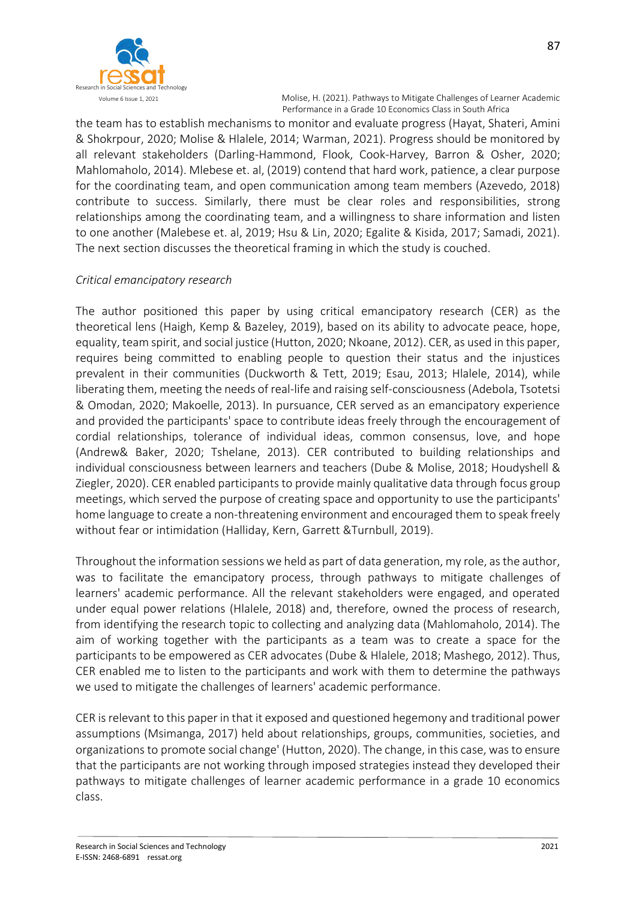

the team has to establish mechanisms to monitor and evaluate progress (Hayat, Shateri, Amini & Shokrpour, 2020; Molise & Hlalele, 2014; Warman, 2021). Progress should be monitored by all relevant stakeholders (Darling-Hammond, Flook, Cook-Harvey, Barron & Osher, 2020; Mahlomaholo, 2014). Mlebese et. al, (2019) contend that hard work, patience, a clear purpose for the coordinating team, and open communication among team members (Azevedo, 2018) contribute to success. Similarly, there must be clear roles and responsibilities, strong relationships among the coordinating team, and a willingness to share information and listen to one another (Malebese et. al, 2019; Hsu & Lin, 2020; Egalite & Kisida, 2017; Samadi, 2021). The next section discusses the theoretical framing in which the study is couched.

## *Critical emancipatory research*

The author positioned this paper by using critical emancipatory research (CER) as the theoretical lens (Haigh, Kemp & Bazeley, 2019), based on its ability to advocate peace, hope, equality, team spirit, and social justice (Hutton, 2020; Nkoane, 2012). CER, as used in this paper, requires being committed to enabling people to question their status and the injustices prevalent in their communities (Duckworth & Tett, 2019; Esau, 2013; Hlalele, 2014), while liberating them, meeting the needs of real-life and raising self-consciousness (Adebola, Tsotetsi & Omodan, 2020; Makoelle, 2013). In pursuance, CER served as an emancipatory experience and provided the participants' space to contribute ideas freely through the encouragement of cordial relationships, tolerance of individual ideas, common consensus, love, and hope (Andrew& Baker, 2020; Tshelane, 2013). CER contributed to building relationships and individual consciousness between learners and teachers (Dube & Molise, 2018; Houdyshell & Ziegler, 2020). CER enabled participants to provide mainly qualitative data through focus group meetings, which served the purpose of creating space and opportunity to use the participants' home language to create a non-threatening environment and encouraged them to speak freely without fear or intimidation (Halliday, Kern, Garrett &Turnbull, 2019).

Throughout the information sessions we held as part of data generation, my role, as the author, was to facilitate the emancipatory process, through pathways to mitigate challenges of learners' academic performance. All the relevant stakeholders were engaged, and operated under equal power relations (Hlalele, 2018) and, therefore, owned the process of research, from identifying the research topic to collecting and analyzing data (Mahlomaholo, 2014). The aim of working together with the participants as a team was to create a space for the participants to be empowered as CER advocates (Dube & Hlalele, 2018; Mashego, 2012). Thus, CER enabled me to listen to the participants and work with them to determine the pathways we used to mitigate the challenges of learners' academic performance.

CER is relevant to this paper in that it exposed and questioned hegemony and traditional power assumptions (Msimanga, 2017) held about relationships, groups, communities, societies, and organizations to promote social change' (Hutton, 2020). The change, in this case, was to ensure that the participants are not working through imposed strategies instead they developed their pathways to mitigate challenges of learner academic performance in a grade 10 economics class.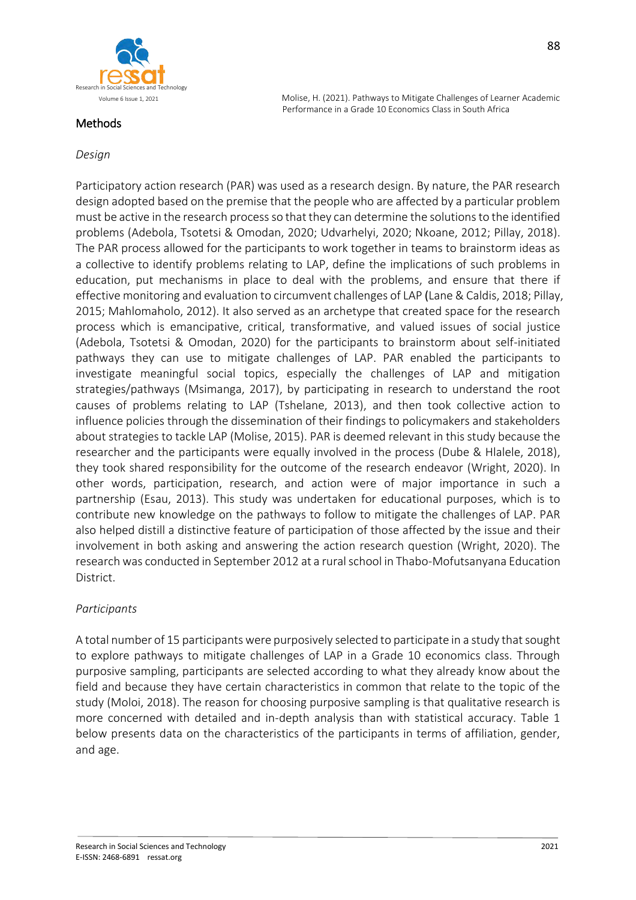

#### Methods

Volume 6 Issue 1, 2021 **Molise, H. (2021). Pathways to Mitigate Challenges of Learner Academic** Performance in a Grade 10 Economics Class in South Africa

## *Design*

Participatory action research (PAR) was used as a research design. By nature, the PAR research design adopted based on the premise that the people who are affected by a particular problem must be active in the research process so that they can determine the solutions to the identified problems (Adebola, Tsotetsi & Omodan, 2020; Udvarhelyi, 2020; Nkoane, 2012; Pillay, 2018). The PAR process allowed for the participants to work together in teams to brainstorm ideas as a collective to identify problems relating to LAP, define the implications of such problems in education, put mechanisms in place to deal with the problems, and ensure that there if effective monitoring and evaluation to circumvent challenges of LAP (Lane & Caldis, 2018; Pillay, 2015; Mahlomaholo, 2012). It also served as an archetype that created space for the research process which is emancipative, critical, transformative, and valued issues of social justice (Adebola, Tsotetsi & Omodan, 2020) for the participants to brainstorm about self-initiated pathways they can use to mitigate challenges of LAP. PAR enabled the participants to investigate meaningful social topics, especially the challenges of LAP and mitigation strategies/pathways (Msimanga, 2017), by participating in research to understand the root causes of problems relating to LAP (Tshelane, 2013), and then took collective action to influence policies through the dissemination of their findings to policymakers and stakeholders about strategies to tackle LAP (Molise, 2015). PAR is deemed relevant in this study because the researcher and the participants were equally involved in the process (Dube & Hlalele, 2018), they took shared responsibility for the outcome of the research endeavor (Wright, 2020). In other words, participation, research, and action were of major importance in such a partnership (Esau, 2013). This study was undertaken for educational purposes, which is to contribute new knowledge on the pathways to follow to mitigate the challenges of LAP. PAR also helped distill a distinctive feature of participation of those affected by the issue and their involvement in both asking and answering the action research question (Wright, 2020). The research was conducted in September 2012 at a rural school in Thabo-Mofutsanyana Education District.

## *Participants*

A total number of 15 participants were purposively selected to participate in a study that sought to explore pathways to mitigate challenges of LAP in a Grade 10 economics class. Through purposive sampling, participants are selected according to what they already know about the field and because they have certain characteristics in common that relate to the topic of the study (Moloi, 2018). The reason for choosing purposive sampling is that qualitative research is more concerned with detailed and in-depth analysis than with statistical accuracy. Table 1 below presents data on the characteristics of the participants in terms of affiliation, gender, and age.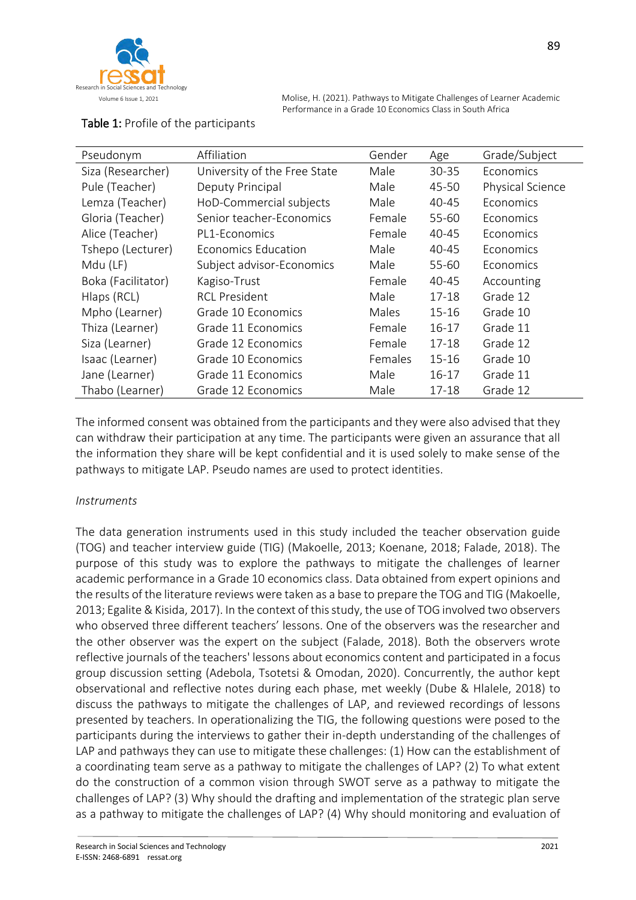

| Pseudonym          | Affiliation                  | Gender  | Age       | Grade/Subject    |
|--------------------|------------------------------|---------|-----------|------------------|
| Siza (Researcher)  | University of the Free State | Male    | 30-35     | Economics        |
| Pule (Teacher)     | Deputy Principal             | Male    | 45-50     | Physical Science |
| Lemza (Teacher)    | HoD-Commercial subjects      | Male    | 40-45     | Economics        |
| Gloria (Teacher)   | Senior teacher-Economics     | Female  | 55-60     | Economics        |
| Alice (Teacher)    | PL1-Economics                | Female  | 40-45     | Economics        |
| Tshepo (Lecturer)  | <b>Economics Education</b>   | Male    | 40-45     | Economics        |
| Mdu (LF)           | Subject advisor-Economics    | Male    | 55-60     | Economics        |
| Boka (Facilitator) | Kagiso-Trust                 | Female  | 40-45     | Accounting       |
| Hlaps (RCL)        | <b>RCL President</b>         | Male    | $17 - 18$ | Grade 12         |
| Mpho (Learner)     | Grade 10 Economics           | Males   | $15 - 16$ | Grade 10         |
| Thiza (Learner)    | Grade 11 Economics           | Female  | $16-17$   | Grade 11         |
| Siza (Learner)     | Grade 12 Economics           | Female  | $17 - 18$ | Grade 12         |
| Isaac (Learner)    | Grade 10 Economics           | Females | $15 - 16$ | Grade 10         |
| Jane (Learner)     | Grade 11 Economics           | Male    | $16-17$   | Grade 11         |
| Thabo (Learner)    | Grade 12 Economics           | Male    | $17 - 18$ | Grade 12         |

# Table 1: Profile of the participants

The informed consent was obtained from the participants and they were also advised that they can withdraw their participation at any time. The participants were given an assurance that all the information they share will be kept confidential and it is used solely to make sense of the pathways to mitigate LAP. Pseudo names are used to protect identities.

## *Instruments*

The data generation instruments used in this study included the teacher observation guide (TOG) and teacher interview guide (TIG) (Makoelle, 2013; Koenane, 2018; Falade, 2018). The purpose of this study was to explore the pathways to mitigate the challenges of learner academic performance in a Grade 10 economics class. Data obtained from expert opinions and the results of the literature reviews were taken as a base to prepare the TOG and TIG (Makoelle, 2013; Egalite & Kisida, 2017). In the context of this study, the use of TOG involved two observers who observed three different teachers' lessons. One of the observers was the researcher and the other observer was the expert on the subject (Falade, 2018). Both the observers wrote reflective journals of the teachers' lessons about economics content and participated in a focus group discussion setting (Adebola, Tsotetsi & Omodan, 2020). Concurrently, the author kept observational and reflective notes during each phase, met weekly (Dube & Hlalele, 2018) to discuss the pathways to mitigate the challenges of LAP, and reviewed recordings of lessons presented by teachers. In operationalizing the TIG, the following questions were posed to the participants during the interviews to gather their in-depth understanding of the challenges of LAP and pathways they can use to mitigate these challenges: (1) How can the establishment of a coordinating team serve as a pathway to mitigate the challenges of LAP? (2) To what extent do the construction of a common vision through SWOT serve as a pathway to mitigate the challenges of LAP? (3) Why should the drafting and implementation of the strategic plan serve as a pathway to mitigate the challenges of LAP? (4) Why should monitoring and evaluation of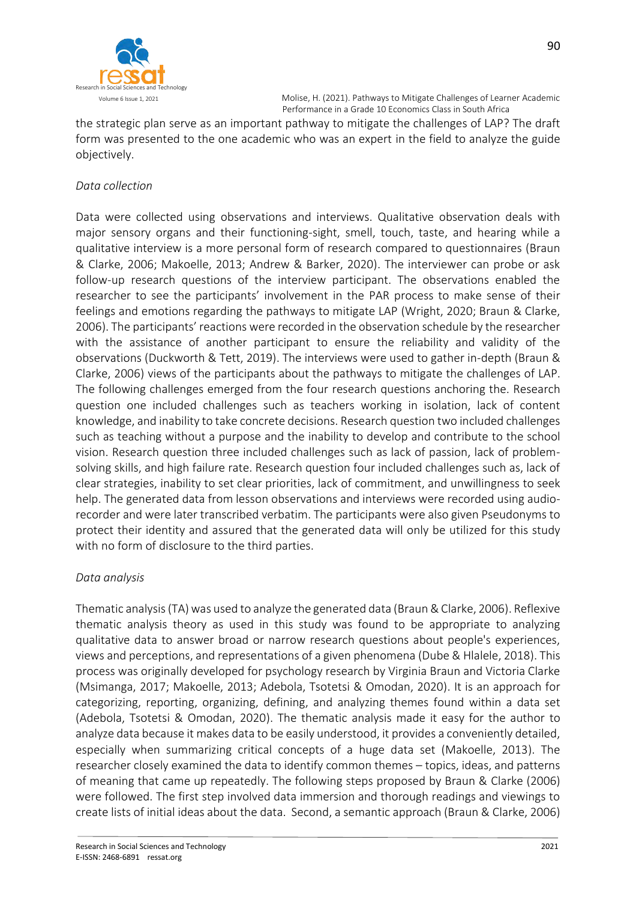

the strategic plan serve as an important pathway to mitigate the challenges of LAP? The draft form was presented to the one academic who was an expert in the field to analyze the guide objectively.

# *Data collection*

Data were collected using observations and interviews. Qualitative observation deals with major sensory organs and their functioning-sight, smell, touch, taste, and hearing while a qualitative interview is a more personal form of research compared to questionnaires (Braun & Clarke, 2006; Makoelle, 2013; Andrew & Barker, 2020). The interviewer can probe or ask follow-up research questions of the interview participant. The observations enabled the researcher to see the participants' involvement in the PAR process to make sense of their feelings and emotions regarding the pathways to mitigate LAP (Wright, 2020; Braun & Clarke, 2006). The participants' reactions were recorded in the observation schedule by the researcher with the assistance of another participant to ensure the reliability and validity of the observations (Duckworth & Tett, 2019). The interviews were used to gather in-depth (Braun & Clarke, 2006) views of the participants about the pathways to mitigate the challenges of LAP. The following challenges emerged from the four research questions anchoring the. Research question one included challenges such as teachers working in isolation, lack of content knowledge, and inability to take concrete decisions. Research question two included challenges such as teaching without a purpose and the inability to develop and contribute to the school vision. Research question three included challenges such as lack of passion, lack of problemsolving skills, and high failure rate. Research question four included challenges such as, lack of clear strategies, inability to set clear priorities, lack of commitment, and unwillingness to seek help. The generated data from lesson observations and interviews were recorded using audiorecorder and were later transcribed verbatim. The participants were also given Pseudonyms to protect their identity and assured that the generated data will only be utilized for this study with no form of disclosure to the third parties.

## *Data analysis*

Thematic analysis(TA)was used to analyze the generated data (Braun & Clarke, 2006). Reflexive thematic analysis theory as used in this study was found to be appropriate to analyzing qualitative data to answer broad or narrow research questions about people's experiences, views and perceptions, and representations of a given phenomena (Dube & Hlalele, 2018). This process was originally developed for psychology research by Virginia Braun and Victoria Clarke (Msimanga, 2017; Makoelle, 2013; Adebola, Tsotetsi & Omodan, 2020). It is an approach for categorizing, reporting, organizing, defining, and analyzing themes found within a data set (Adebola, Tsotetsi & Omodan, 2020). The thematic analysis made it easy for the author to analyze data because it makes data to be easily understood, it provides a conveniently detailed, especially when summarizing critical concepts of a huge data set (Makoelle, 2013). The researcher closely examined the data to identify common themes – topics, ideas, and patterns of meaning that came up repeatedly. The following steps proposed by Braun & Clarke (2006) were followed. The first step involved data immersion and thorough readings and viewings to create lists of initial ideas about the data. Second, a semantic approach (Braun & Clarke, 2006)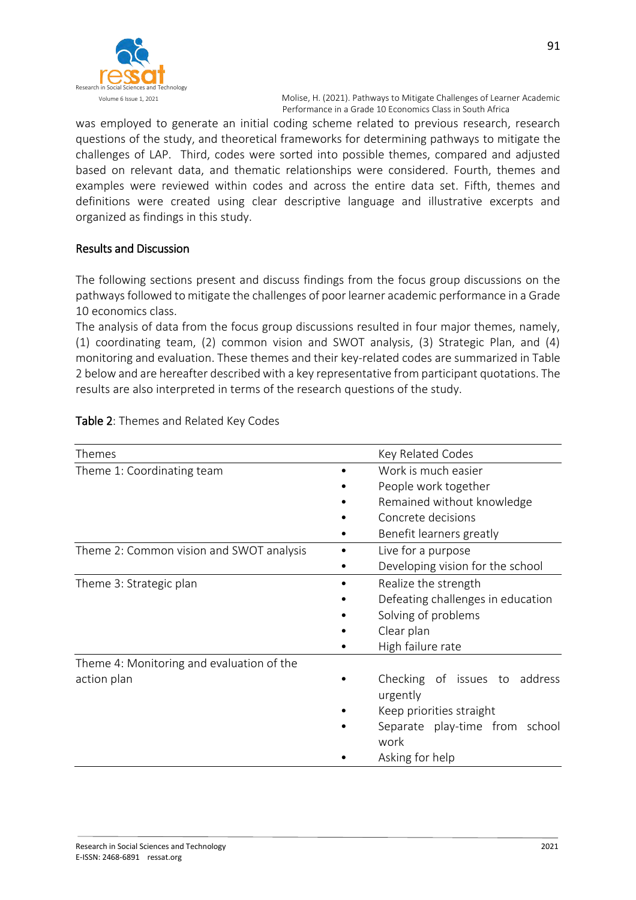

was employed to generate an initial coding scheme related to previous research, research questions of the study, and theoretical frameworks for determining pathways to mitigate the challenges of LAP. Third, codes were sorted into possible themes, compared and adjusted based on relevant data, and thematic relationships were considered. Fourth, themes and examples were reviewed within codes and across the entire data set. Fifth, themes and definitions were created using clear descriptive language and illustrative excerpts and organized as findings in this study.

#### Results and Discussion

The following sections present and discuss findings from the focus group discussions on the pathways followed to mitigate the challenges of poor learner academic performance in a Grade 10 economics class.

The analysis of data from the focus group discussions resulted in four major themes, namely, (1) coordinating team, (2) common vision and SWOT analysis, (3) Strategic Plan, and (4) monitoring and evaluation. These themes and their key-related codes are summarized in Table 2 below and are hereafter described with a key representative from participant quotations. The results are also interpreted in terms of the research questions of the study.

| Themes                                    | Key Related Codes                         |
|-------------------------------------------|-------------------------------------------|
| Theme 1: Coordinating team                | Work is much easier                       |
|                                           | People work together                      |
|                                           | Remained without knowledge                |
|                                           | Concrete decisions                        |
|                                           | Benefit learners greatly                  |
| Theme 2: Common vision and SWOT analysis  | Live for a purpose                        |
|                                           | Developing vision for the school          |
| Theme 3: Strategic plan                   | Realize the strength                      |
|                                           | Defeating challenges in education         |
|                                           | Solving of problems                       |
|                                           | Clear plan                                |
|                                           | High failure rate                         |
| Theme 4: Monitoring and evaluation of the |                                           |
| action plan                               | Checking of issues to address<br>urgently |
|                                           | Keep priorities straight                  |
|                                           | Separate play-time from school<br>work    |
|                                           | Asking for help                           |

#### Table 2: Themes and Related Key Codes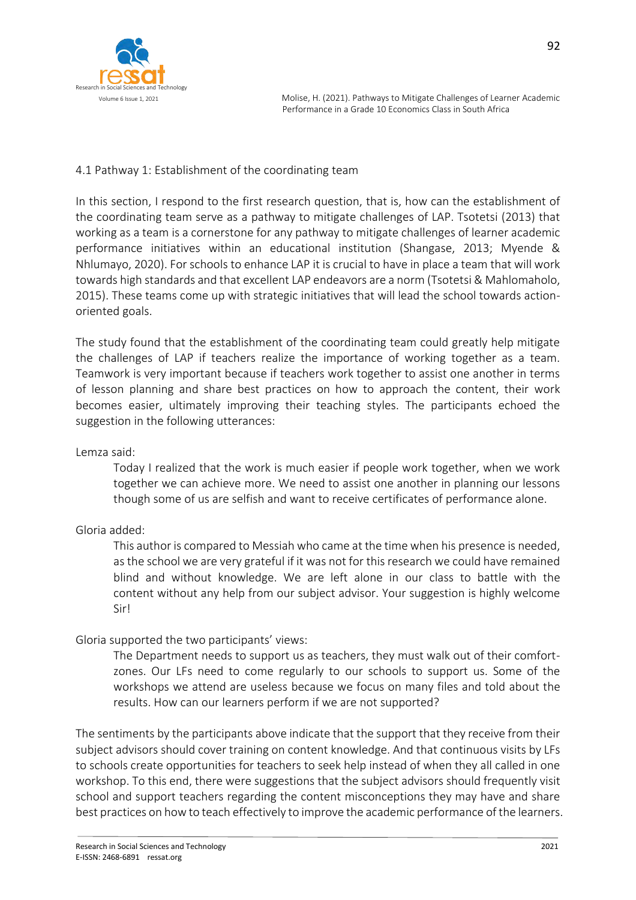

#### 4.1 Pathway 1: Establishment of the coordinating team

In this section, I respond to the first research question, that is, how can the establishment of the coordinating team serve as a pathway to mitigate challenges of LAP. Tsotetsi (2013) that working as a team is a cornerstone for any pathway to mitigate challenges of learner academic performance initiatives within an educational institution (Shangase, 2013; Myende & Nhlumayo, 2020). For schools to enhance LAP it is crucial to have in place a team that will work towards high standards and that excellent LAP endeavors are a norm (Tsotetsi & Mahlomaholo, 2015). These teams come up with strategic initiatives that will lead the school towards actionoriented goals.

The study found that the establishment of the coordinating team could greatly help mitigate the challenges of LAP if teachers realize the importance of working together as a team. Teamwork is very important because if teachers work together to assist one another in terms of lesson planning and share best practices on how to approach the content, their work becomes easier, ultimately improving their teaching styles. The participants echoed the suggestion in the following utterances:

Lemza said:

Today I realized that the work is much easier if people work together, when we work together we can achieve more. We need to assist one another in planning our lessons though some of us are selfish and want to receive certificates of performance alone.

## Gloria added:

This author is compared to Messiah who came at the time when his presence is needed, as the school we are very grateful if it was not for this research we could have remained blind and without knowledge. We are left alone in our class to battle with the content without any help from our subject advisor. Your suggestion is highly welcome Sir!

## Gloria supported the two participants' views:

The Department needs to support us as teachers, they must walk out of their comfortzones. Our LFs need to come regularly to our schools to support us. Some of the workshops we attend are useless because we focus on many files and told about the results. How can our learners perform if we are not supported?

The sentiments by the participants above indicate that the support that they receive from their subject advisors should cover training on content knowledge. And that continuous visits by LFs to schools create opportunities for teachers to seek help instead of when they all called in one workshop. To this end, there were suggestions that the subject advisors should frequently visit school and support teachers regarding the content misconceptions they may have and share best practices on how to teach effectively to improve the academic performance of the learners.

92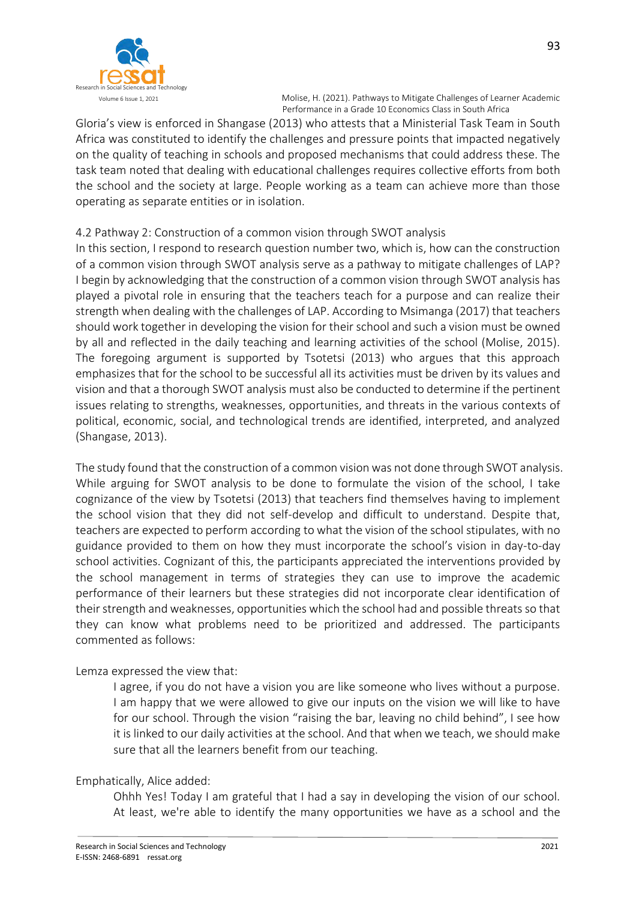

Gloria's view is enforced in Shangase (2013) who attests that a Ministerial Task Team in South Africa was constituted to identify the challenges and pressure points that impacted negatively on the quality of teaching in schools and proposed mechanisms that could address these. The task team noted that dealing with educational challenges requires collective efforts from both the school and the society at large. People working as a team can achieve more than those operating as separate entities or in isolation.

## 4.2 Pathway 2: Construction of a common vision through SWOT analysis

In this section, I respond to research question number two, which is, how can the construction of a common vision through SWOT analysis serve as a pathway to mitigate challenges of LAP? I begin by acknowledging that the construction of a common vision through SWOT analysis has played a pivotal role in ensuring that the teachers teach for a purpose and can realize their strength when dealing with the challenges of LAP. According to Msimanga (2017) that teachers should work together in developing the vision for their school and such a vision must be owned by all and reflected in the daily teaching and learning activities of the school (Molise, 2015). The foregoing argument is supported by Tsotetsi (2013) who argues that this approach emphasizes that for the school to be successful all its activities must be driven by its values and vision and that a thorough SWOT analysis must also be conducted to determine if the pertinent issues relating to strengths, weaknesses, opportunities, and threats in the various contexts of political, economic, social, and technological trends are identified, interpreted, and analyzed (Shangase, 2013).

The study found that the construction of a common vision was not done through SWOT analysis. While arguing for SWOT analysis to be done to formulate the vision of the school, I take cognizance of the view by Tsotetsi (2013) that teachers find themselves having to implement the school vision that they did not self-develop and difficult to understand. Despite that, teachers are expected to perform according to what the vision of the school stipulates, with no guidance provided to them on how they must incorporate the school's vision in day-to-day school activities. Cognizant of this, the participants appreciated the interventions provided by the school management in terms of strategies they can use to improve the academic performance of their learners but these strategies did not incorporate clear identification of their strength and weaknesses, opportunities which the school had and possible threats so that they can know what problems need to be prioritized and addressed. The participants commented as follows:

## Lemza expressed the view that:

I agree, if you do not have a vision you are like someone who lives without a purpose. I am happy that we were allowed to give our inputs on the vision we will like to have for our school. Through the vision "raising the bar, leaving no child behind", I see how it is linked to our daily activities at the school. And that when we teach, we should make sure that all the learners benefit from our teaching.

## Emphatically, Alice added:

Ohhh Yes! Today I am grateful that I had a say in developing the vision of our school. At least, we're able to identify the many opportunities we have as a school and the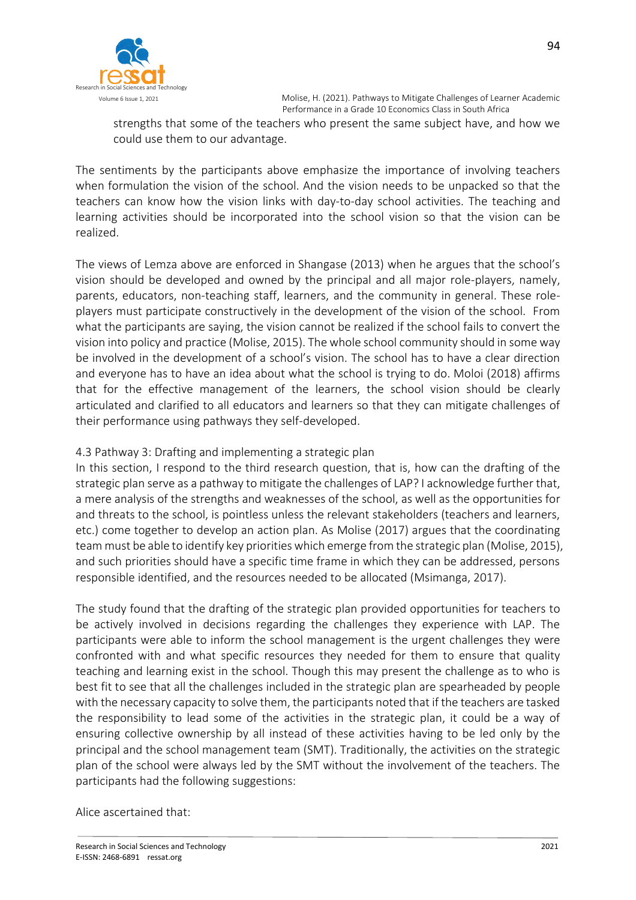

strengths that some of the teachers who present the same subject have, and how we could use them to our advantage.

The sentiments by the participants above emphasize the importance of involving teachers when formulation the vision of the school. And the vision needs to be unpacked so that the teachers can know how the vision links with day-to-day school activities. The teaching and learning activities should be incorporated into the school vision so that the vision can be realized.

The views of Lemza above are enforced in Shangase (2013) when he argues that the school's vision should be developed and owned by the principal and all major role-players, namely, parents, educators, non-teaching staff, learners, and the community in general. These roleplayers must participate constructively in the development of the vision of the school. From what the participants are saying, the vision cannot be realized if the school fails to convert the vision into policy and practice (Molise, 2015). The whole school community should in some way be involved in the development of a school's vision. The school has to have a clear direction and everyone has to have an idea about what the school is trying to do. Moloi (2018) affirms that for the effective management of the learners, the school vision should be clearly articulated and clarified to all educators and learners so that they can mitigate challenges of their performance using pathways they self-developed.

#### 4.3 Pathway 3: Drafting and implementing a strategic plan

In this section, I respond to the third research question, that is, how can the drafting of the strategic plan serve as a pathway to mitigate the challenges of LAP? I acknowledge further that, a mere analysis of the strengths and weaknesses of the school, as well as the opportunities for and threats to the school, is pointless unless the relevant stakeholders (teachers and learners, etc.) come together to develop an action plan. As Molise (2017) argues that the coordinating team must be able to identify key priorities which emerge from the strategic plan (Molise, 2015), and such priorities should have a specific time frame in which they can be addressed, persons responsible identified, and the resources needed to be allocated (Msimanga, 2017).

The study found that the drafting of the strategic plan provided opportunities for teachers to be actively involved in decisions regarding the challenges they experience with LAP. The participants were able to inform the school management is the urgent challenges they were confronted with and what specific resources they needed for them to ensure that quality teaching and learning exist in the school. Though this may present the challenge as to who is best fit to see that all the challenges included in the strategic plan are spearheaded by people with the necessary capacity to solve them, the participants noted that if the teachers are tasked the responsibility to lead some of the activities in the strategic plan, it could be a way of ensuring collective ownership by all instead of these activities having to be led only by the principal and the school management team (SMT). Traditionally, the activities on the strategic plan of the school were always led by the SMT without the involvement of the teachers. The participants had the following suggestions:

Alice ascertained that: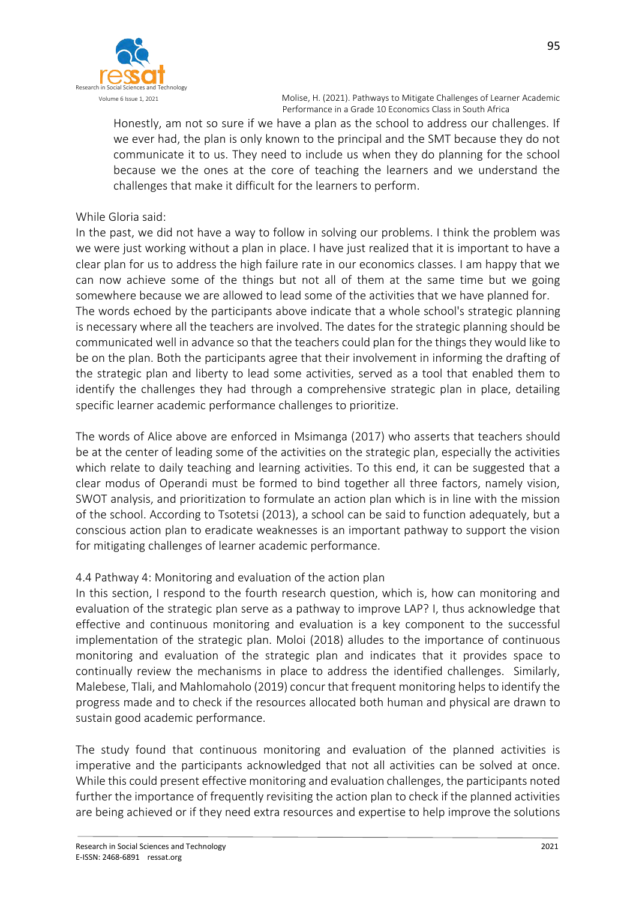

Honestly, am not so sure if we have a plan as the school to address our challenges. If we ever had, the plan is only known to the principal and the SMT because they do not communicate it to us. They need to include us when they do planning for the school because we the ones at the core of teaching the learners and we understand the challenges that make it difficult for the learners to perform.

#### While Gloria said:

In the past, we did not have a way to follow in solving our problems. I think the problem was we were just working without a plan in place. I have just realized that it is important to have a clear plan for us to address the high failure rate in our economics classes. I am happy that we can now achieve some of the things but not all of them at the same time but we going somewhere because we are allowed to lead some of the activities that we have planned for. The words echoed by the participants above indicate that a whole school's strategic planning is necessary where all the teachers are involved. The dates for the strategic planning should be communicated well in advance so that the teachers could plan for the things they would like to be on the plan. Both the participants agree that their involvement in informing the drafting of the strategic plan and liberty to lead some activities, served as a tool that enabled them to identify the challenges they had through a comprehensive strategic plan in place, detailing specific learner academic performance challenges to prioritize.

The words of Alice above are enforced in Msimanga (2017) who asserts that teachers should be at the center of leading some of the activities on the strategic plan, especially the activities which relate to daily teaching and learning activities. To this end, it can be suggested that a clear modus of Operandi must be formed to bind together all three factors, namely vision, SWOT analysis, and prioritization to formulate an action plan which is in line with the mission of the school. According to Tsotetsi (2013), a school can be said to function adequately, but a conscious action plan to eradicate weaknesses is an important pathway to support the vision for mitigating challenges of learner academic performance.

## 4.4 Pathway 4: Monitoring and evaluation of the action plan

In this section, I respond to the fourth research question, which is, how can monitoring and evaluation of the strategic plan serve as a pathway to improve LAP? I, thus acknowledge that effective and continuous monitoring and evaluation is a key component to the successful implementation of the strategic plan. Moloi (2018) alludes to the importance of continuous monitoring and evaluation of the strategic plan and indicates that it provides space to continually review the mechanisms in place to address the identified challenges. Similarly, Malebese, Tlali, and Mahlomaholo (2019) concur that frequent monitoring helps to identify the progress made and to check if the resources allocated both human and physical are drawn to sustain good academic performance.

The study found that continuous monitoring and evaluation of the planned activities is imperative and the participants acknowledged that not all activities can be solved at once. While this could present effective monitoring and evaluation challenges, the participants noted further the importance of frequently revisiting the action plan to check if the planned activities are being achieved or if they need extra resources and expertise to help improve the solutions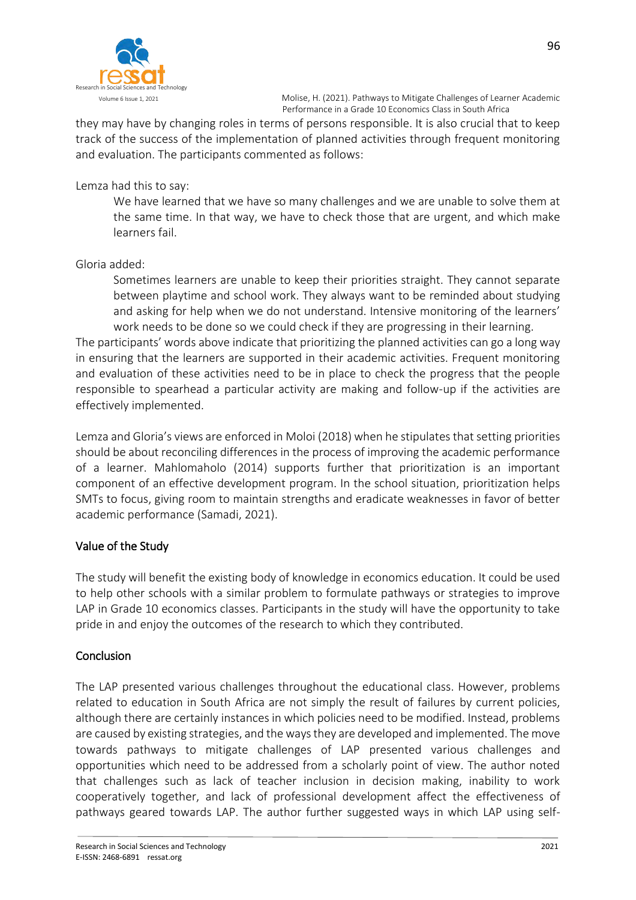

they may have by changing roles in terms of persons responsible. It is also crucial that to keep track of the success of the implementation of planned activities through frequent monitoring and evaluation. The participants commented as follows:

Lemza had this to say:

We have learned that we have so many challenges and we are unable to solve them at the same time. In that way, we have to check those that are urgent, and which make learners fail.

Gloria added:

Sometimes learners are unable to keep their priorities straight. They cannot separate between playtime and school work. They always want to be reminded about studying and asking for help when we do not understand. Intensive monitoring of the learners' work needs to be done so we could check if they are progressing in their learning.

The participants' words above indicate that prioritizing the planned activities can go a long way in ensuring that the learners are supported in their academic activities. Frequent monitoring and evaluation of these activities need to be in place to check the progress that the people responsible to spearhead a particular activity are making and follow-up if the activities are effectively implemented.

Lemza and Gloria's views are enforced in Moloi (2018) when he stipulates that setting priorities should be about reconciling differences in the process of improving the academic performance of a learner. Mahlomaholo (2014) supports further that prioritization is an important component of an effective development program. In the school situation, prioritization helps SMTs to focus, giving room to maintain strengths and eradicate weaknesses in favor of better academic performance (Samadi, 2021).

## Value of the Study

The study will benefit the existing body of knowledge in economics education. It could be used to help other schools with a similar problem to formulate pathways or strategies to improve LAP in Grade 10 economics classes. Participants in the study will have the opportunity to take pride in and enjoy the outcomes of the research to which they contributed.

#### Conclusion

The LAP presented various challenges throughout the educational class. However, problems related to education in South Africa are not simply the result of failures by current policies, although there are certainly instances in which policies need to be modified. Instead, problems are caused by existing strategies, and the ways they are developed and implemented. The move towards pathways to mitigate challenges of LAP presented various challenges and opportunities which need to be addressed from a scholarly point of view. The author noted that challenges such as lack of teacher inclusion in decision making, inability to work cooperatively together, and lack of professional development affect the effectiveness of pathways geared towards LAP. The author further suggested ways in which LAP using self-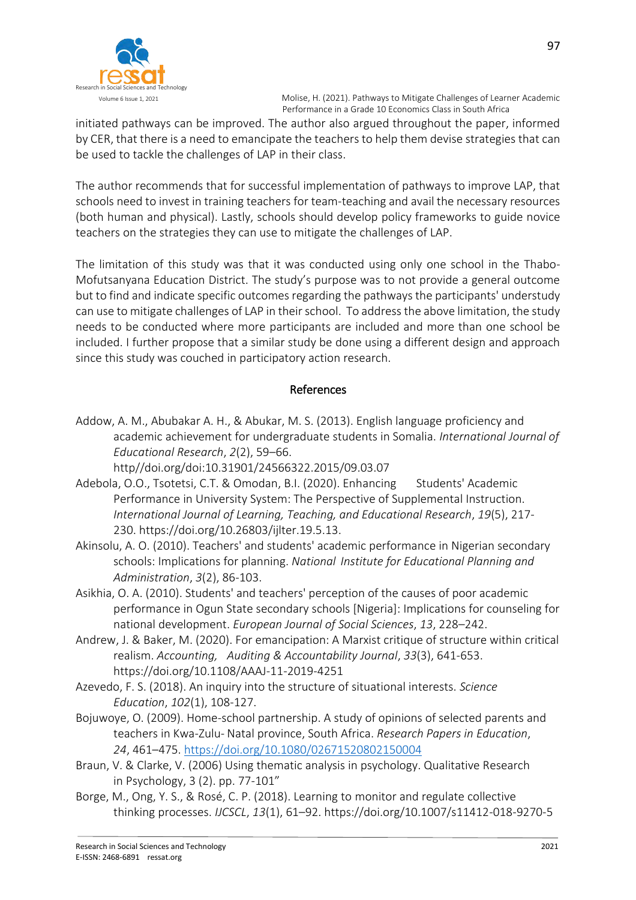

initiated pathways can be improved. The author also argued throughout the paper, informed by CER, that there is a need to emancipate the teachers to help them devise strategies that can be used to tackle the challenges of LAP in their class.

The author recommends that for successful implementation of pathways to improve LAP, that schools need to invest in training teachers for team-teaching and avail the necessary resources (both human and physical). Lastly, schools should develop policy frameworks to guide novice teachers on the strategies they can use to mitigate the challenges of LAP.

The limitation of this study was that it was conducted using only one school in the Thabo-Mofutsanyana Education District. The study's purpose was to not provide a general outcome but to find and indicate specific outcomes regarding the pathways the participants' understudy can use to mitigate challenges of LAP in their school. To address the above limitation, the study needs to be conducted where more participants are included and more than one school be included. I further propose that a similar study be done using a different design and approach since this study was couched in participatory action research.

## References

- Addow, A. M., Abubakar A. H., & Abukar, M. S. (2013). English language proficiency and academic achievement for undergraduate students in Somalia. *International Journal of Educational Research*, *2*(2), 59–66.
	- http//doi.org/doi:10.31901/24566322.2015/09.03.07
- Adebola, O.O., Tsotetsi, C.T. & Omodan, B.I. (2020). Enhancing Students' Academic Performance in University System: The Perspective of Supplemental Instruction. *International Journal of Learning, Teaching, and Educational Research*, *19*(5), 217- 230. https://doi.org/10.26803/ijlter.19.5.13.
- Akinsolu, A. O. (2010). Teachers' and students' academic performance in Nigerian secondary schools: Implications for planning. *National Institute for Educational Planning and Administration*, *3*(2), 86-103.
- Asikhia, O. A. (2010). Students' and teachers' perception of the causes of poor academic performance in Ogun State secondary schools [Nigeria]: Implications for counseling for national development. *European Journal of Social Sciences*, *13*, 228–242.
- Andrew, J. & Baker, M. (2020). For emancipation: A Marxist critique of structure within critical realism. *Accounting, Auditing & Accountability Journal*, *33*(3), 641-653. https://doi.org/10.1108/AAAJ-11-2019-4251
- Azevedo, F. S. (2018). An inquiry into the structure of situational interests. *Science Education*, *102*(1), 108-127.
- Bojuwoye, O. (2009). Home-school partnership. A study of opinions of selected parents and teachers in Kwa-Zulu- Natal province, South Africa. *Research Papers in Education*, *24*, 461–475.<https://doi.org/10.1080/02671520802150004>
- Braun, V. & Clarke, V. (2006) Using thematic analysis in psychology. Qualitative Research in Psychology, 3 (2). pp. 77-101"
- Borge, M., Ong, Y. S., & Rosé, C. P. (2018). Learning to monitor and regulate collective thinking processes. *IJCSCL*, *13*(1), 61–92. https://doi.org/10.1007/s11412-018-9270-5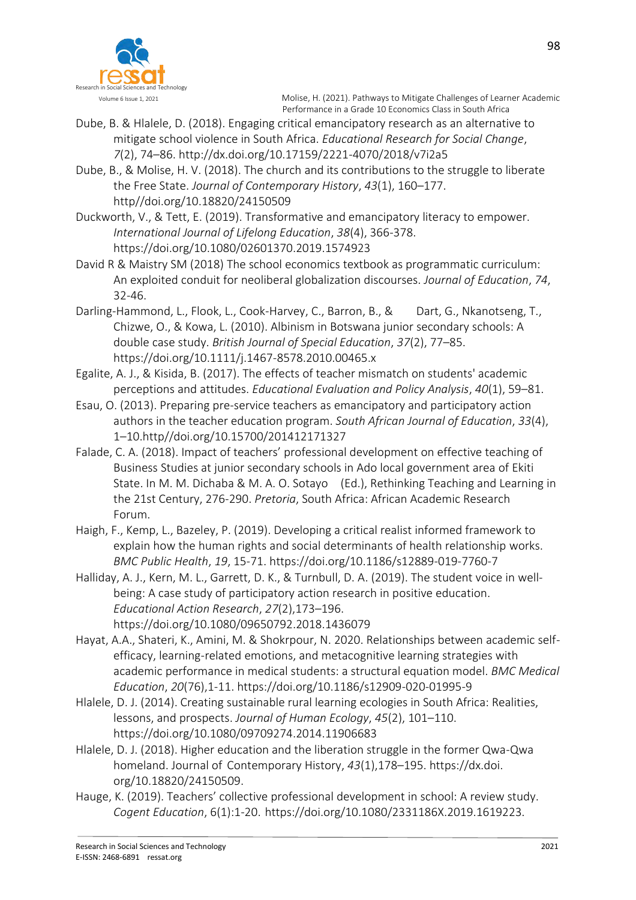

- Dube, B. & Hlalele, D. (2018). Engaging critical emancipatory research as an alternative to mitigate school violence in South Africa. *Educational Research for Social Change*, *7*(2), 74–86. http://dx.doi.org/10.17159/2221-4070/2018/v7i2a5
- Dube, B., & Molise, H. V. (2018). The church and its contributions to the struggle to liberate the Free State. *Journal of Contemporary History*, *43*(1), 160–177. http//doi.org/10.18820/24150509
- Duckworth, V., & Tett, E. (2019). Transformative and emancipatory literacy to empower. *International Journal of Lifelong Education*, *38*(4), 366-378. https://doi.org/10.1080/02601370.2019.1574923
- David R & Maistry SM (2018) The school economics textbook as programmatic curriculum: An exploited conduit for neoliberal globalization discourses. *Journal of Education*, *74*, 32-46.
- Darling-Hammond, L., Flook, L., Cook-Harvey, C., Barron, B., & Dart, G., Nkanotseng, T., Chizwe, O., & Kowa, L. (2010). Albinism in Botswana junior secondary schools: A double case study. *British Journal of Special Education*, *37*(2), 77–85. https://doi.org/10.1111/j.1467-8578.2010.00465.x
- Egalite, A. J., & Kisida, B. (2017). The effects of teacher mismatch on students' academic perceptions and attitudes. *Educational Evaluation and Policy Analysis*, *40*(1), 59–81.
- Esau, O. (2013). Preparing pre-service teachers as emancipatory and participatory action authors in the teacher education program. *South African Journal of Education*, *33*(4), 1–10.http//doi.org/10.15700/201412171327
- Falade, C. A. (2018). Impact of teachers' professional development on effective teaching of Business Studies at junior secondary schools in Ado local government area of Ekiti State. In M. M. Dichaba & M. A. O. Sotayo (Ed.), Rethinking Teaching and Learning in the 21st Century, 276-290. *Pretoria*, South Africa: African Academic Research Forum.
- Haigh, F., Kemp, L., Bazeley, P. (2019). Developing a critical realist informed framework to explain how the human rights and social determinants of health relationship works. *BMC Public Health*, *19*, 15-71. https://doi.org/10.1186/s12889-019-7760-7
- Halliday, A. J., Kern, M. L., Garrett, D. K., & Turnbull, D. A. (2019). The student voice in wellbeing: A case study of participatory action research in positive education. *Educational Action Research*, *27*(2),173–196. https://doi.org/10.1080/09650792.2018.1436079
- Hayat, A.A., Shateri, K., Amini, M. & Shokrpour, N. 2020. Relationships between academic selfefficacy, learning-related emotions, and metacognitive learning strategies with academic performance in medical students: a structural equation model. *BMC Medical Education*, *20*(76),1-11. https://doi.org/10.1186/s12909-020-01995-9
- Hlalele, D. J. (2014). Creating sustainable rural learning ecologies in South Africa: Realities, lessons, and prospects. *Journal of Human Ecology*, *45*(2), 101–110. https://doi.org/10.1080/09709274.2014.11906683
- Hlalele, D. J. (2018). Higher education and the liberation struggle in the former Qwa-Qwa homeland. Journal of Contemporary History, *43*(1),178–195. https://dx.doi. org/10.18820/24150509.
- Hauge, K. (2019). Teachers' collective professional development in school: A review study. *Cogent Education*, 6(1):1-20. https://doi.org/10.1080/2331186X.2019.1619223.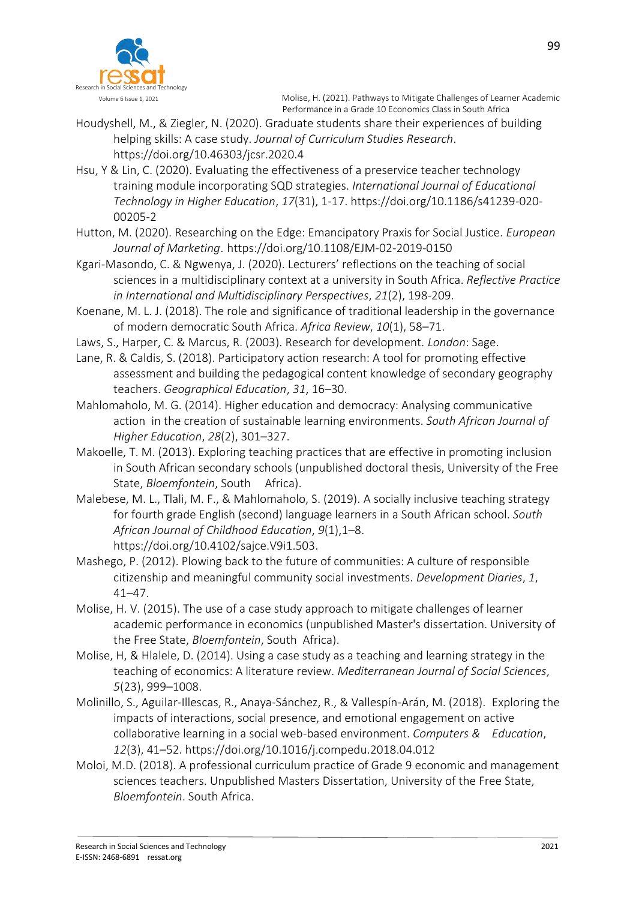

- Houdyshell, M., & Ziegler, N. (2020). Graduate students share their experiences of building helping skills: A case study. *Journal of Curriculum Studies Research*. https://doi.org/10.46303/jcsr.2020.4
- Hsu, Y & Lin, C. (2020). Evaluating the effectiveness of a preservice teacher technology training module incorporating SQD strategies. *International Journal of Educational Technology in Higher Education*, *17*(31), 1-17. https://doi.org/10.1186/s41239-020- 00205-2
- Hutton, M. (2020). Researching on the Edge: Emancipatory Praxis for Social Justice. *European Journal of Marketing*. https://doi.org/10.1108/EJM-02-2019-0150
- Kgari-Masondo, C. & Ngwenya, J. (2020). Lecturers' reflections on the teaching of social sciences in a multidisciplinary context at a university in South Africa. *Reflective Practice in International and Multidisciplinary Perspectives*, *21*(2), 198-209.
- Koenane, M. L. J. (2018). The role and significance of traditional leadership in the governance of modern democratic South Africa. *Africa Review*, *10*(1), 58–71.
- Laws, S., Harper, C. & Marcus, R. (2003). Research for development. *London*: Sage.
- Lane, R. & Caldis, S. (2018). Participatory action research: A tool for promoting effective assessment and building the pedagogical content knowledge of secondary geography teachers. *Geographical Education*, *31*, 16–30.
- Mahlomaholo, M. G. (2014). Higher education and democracy: Analysing communicative action in the creation of sustainable learning environments. *South African Journal of Higher Education*, *28*(2), 301–327.
- Makoelle, T. M. (2013). Exploring teaching practices that are effective in promoting inclusion in South African secondary schools (unpublished doctoral thesis, University of the Free State, *Bloemfontein*, South Africa).
- Malebese, M. L., Tlali, M. F., & Mahlomaholo, S. (2019). A socially inclusive teaching strategy for fourth grade English (second) language learners in a South African school. *South African Journal of Childhood Education*, *9*(1),1–8. https://doi.org/10.4102/sajce.V9i1.503.
- Mashego, P. (2012). Plowing back to the future of communities: A culture of responsible citizenship and meaningful community social investments. *Development Diaries*, *1*, 41–47.
- Molise, H. V. (2015). The use of a case study approach to mitigate challenges of learner academic performance in economics (unpublished Master's dissertation. University of the Free State, *Bloemfontein*, South Africa).
- Molise, H, & Hlalele, D. (2014). Using a case study as a teaching and learning strategy in the teaching of economics: A literature review. *Mediterranean Journal of Social Sciences*, *5*(23), 999–1008.
- Molinillo, S., Aguilar-Illescas, R., Anaya-Sánchez, R., & Vallespín-Arán, M. (2018). Exploring the impacts of interactions, social presence, and emotional engagement on active collaborative learning in a social web-based environment. *Computers & Education*, *12*(3), 41–52. https://doi.org/10.1016/j.compedu.2018.04.012
- Moloi, M.D. (2018). A professional curriculum practice of Grade 9 economic and management sciences teachers. Unpublished Masters Dissertation, University of the Free State, *Bloemfontein*. South Africa.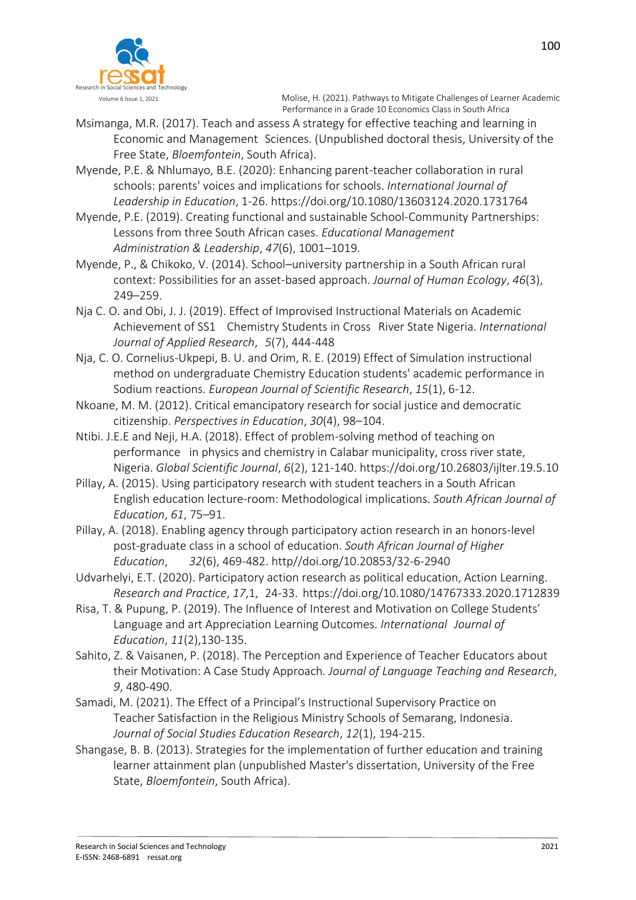

- Msimanga, M.R. (2017). Teach and assess A strategy for effective teaching and learning in Economic and Management Sciences. (Unpublished doctoral thesis, University of the Free State, *Bloemfontein*, South Africa).
- Myende, P.E. & Nhlumayo, B.E. (2020): Enhancing parent-teacher collaboration in rural schools: parents' voices and implications for schools. *International Journal of Leadership in Education*, 1-26. https://doi.org/10.1080/13603124.2020.1731764
- Myende, P.E. (2019). Creating functional and sustainable School-Community Partnerships: Lessons from three South African cases. *Educational Management Administration & Leadership*, *47*(6), 1001–1019.
- Myende, P., & Chikoko, V. (2014). School–university partnership in a South African rural context: Possibilities for an asset-based approach. *Journal of Human Ecology*, *46*(3), 249–259.
- Nja C. O. and Obi, J. J. (2019). Effect of Improvised Instructional Materials on Academic Achievement of SS1 Chemistry Students in Cross River State Nigeria. *International Journal of Applied Research*, *5*(7), 444-448
- Nja, C. O. Cornelius-Ukpepi, B. U. and Orim, R. E. (2019) Effect of Simulation instructional method on undergraduate Chemistry Education students' academic performance in Sodium reactions. *European Journal of Scientific Research*, *15*(1), 6-12.
- Nkoane, M. M. (2012). Critical emancipatory research for social justice and democratic citizenship. *Perspectives in Education*, *30*(4), 98–104.
- Ntibi. J.E.E and Neji, H.A. (2018). Effect of problem-solving method of teaching on performance in physics and chemistry in Calabar municipality, cross river state, Nigeria. *Global Scientific Journal*, *6*(2), 121-140. https://doi.org/10.26803/ijlter.19.5.10
- Pillay, A. (2015). Using participatory research with student teachers in a South African English education lecture-room: Methodological implications. *South African Journal of Education*, *61*, 75–91.
- Pillay, A. (2018). Enabling agency through participatory action research in an honors-level post-graduate class in a school of education. *South African Journal of Higher Education*, *32*(6), 469-482. http//doi.org/10.20853/32-6-2940
- Udvarhelyi, E.T. (2020). Participatory action research as political education, Action Learning. *Research and Practice*, *17*,1, 24-33. https://doi.org/10.1080/14767333.2020.1712839
- Risa, T. & Pupung, P. (2019). The Influence of Interest and Motivation on College Students' Language and art Appreciation Learning Outcomes. *International Journal of Education*, *11*(2),130-135.
- Sahito, Z. & Vaisanen, P. (2018). The Perception and Experience of Teacher Educators about their Motivation: A Case Study Approach*. Journal of Language Teaching and Research*, *9*, 480-490.
- Samadi, M. (2021). The Effect of a Principal's Instructional Supervisory Practice on Teacher Satisfaction in the Religious Ministry Schools of Semarang, Indonesia. *Journal of Social Studies Education Research*, *12*(1), 194-215.
- Shangase, B. B. (2013). Strategies for the implementation of further education and training learner attainment plan (unpublished Master's dissertation, University of the Free State, *Bloemfontein*, South Africa).